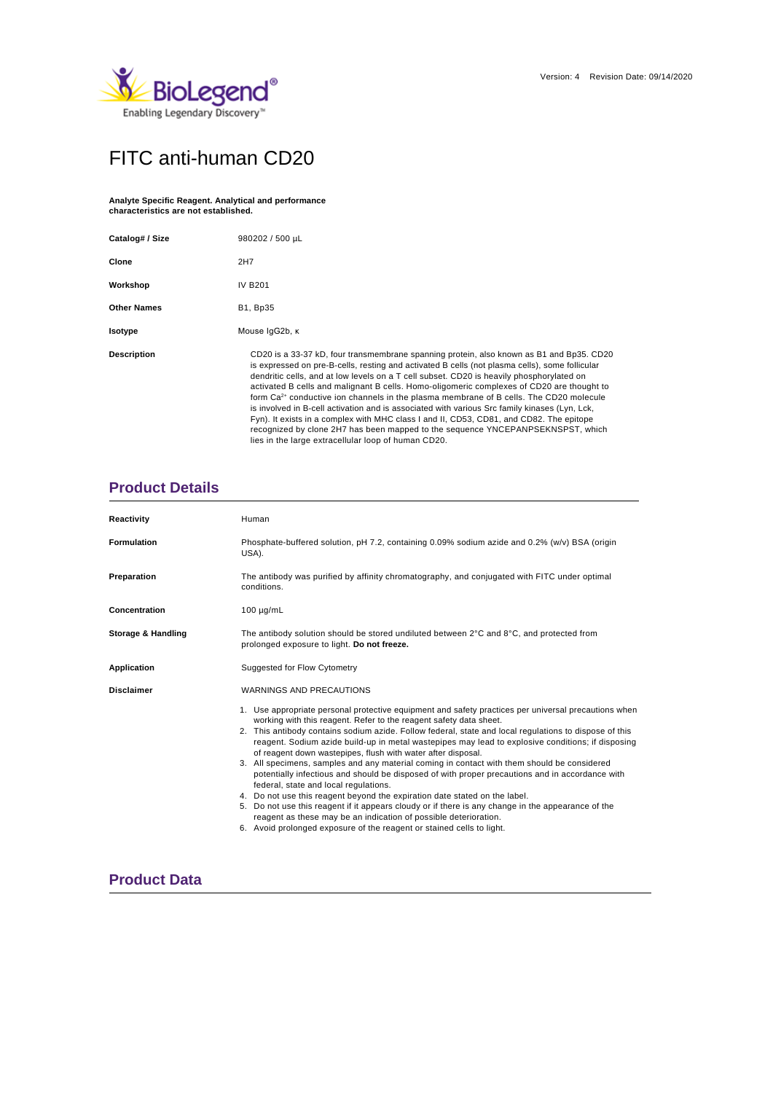

# FITC anti-human CD20

#### **Analyte Specific Reagent. Analytical and performance characteristics are not established.**

| Catalog# / Size    | 980202 / 500 µL                                                                                                                                                                                                                                                                                                                                                                                                                                                                                                                                                                                                                                                                                                                                                                                                                 |  |  |  |  |
|--------------------|---------------------------------------------------------------------------------------------------------------------------------------------------------------------------------------------------------------------------------------------------------------------------------------------------------------------------------------------------------------------------------------------------------------------------------------------------------------------------------------------------------------------------------------------------------------------------------------------------------------------------------------------------------------------------------------------------------------------------------------------------------------------------------------------------------------------------------|--|--|--|--|
| Clone              | 2H7                                                                                                                                                                                                                                                                                                                                                                                                                                                                                                                                                                                                                                                                                                                                                                                                                             |  |  |  |  |
| Workshop           | <b>IV B201</b>                                                                                                                                                                                                                                                                                                                                                                                                                                                                                                                                                                                                                                                                                                                                                                                                                  |  |  |  |  |
| <b>Other Names</b> | <b>B1, Bp35</b>                                                                                                                                                                                                                                                                                                                                                                                                                                                                                                                                                                                                                                                                                                                                                                                                                 |  |  |  |  |
| Isotype            | Mouse IgG2b, K                                                                                                                                                                                                                                                                                                                                                                                                                                                                                                                                                                                                                                                                                                                                                                                                                  |  |  |  |  |
| <b>Description</b> | CD20 is a 33-37 kD, four transmembrane spanning protein, also known as B1 and Bp35. CD20<br>is expressed on pre-B-cells, resting and activated B cells (not plasma cells), some follicular<br>dendritic cells, and at low levels on a T cell subset. CD20 is heavily phosphorylated on<br>activated B cells and malignant B cells. Homo-oligomeric complexes of CD20 are thought to<br>form Ca <sup>2+</sup> conductive ion channels in the plasma membrane of B cells. The CD20 molecule<br>is involved in B-cell activation and is associated with various Src family kinases (Lyn, Lck,<br>Fyn). It exists in a complex with MHC class I and II, CD53, CD81, and CD82. The epitope<br>recognized by clone 2H7 has been mapped to the sequence YNCEPANPSEKNSPST, which<br>lies in the large extracellular loop of human CD20. |  |  |  |  |

# **Product Details**

| Reactivity         | Human                                                                                                                                                                                                                                                                                                                                                                                                                                                                                                                                                                                                                                                                                                                                                                                                                                                                                                                                                                                                                                 |  |  |  |  |  |
|--------------------|---------------------------------------------------------------------------------------------------------------------------------------------------------------------------------------------------------------------------------------------------------------------------------------------------------------------------------------------------------------------------------------------------------------------------------------------------------------------------------------------------------------------------------------------------------------------------------------------------------------------------------------------------------------------------------------------------------------------------------------------------------------------------------------------------------------------------------------------------------------------------------------------------------------------------------------------------------------------------------------------------------------------------------------|--|--|--|--|--|
| <b>Formulation</b> | Phosphate-buffered solution, pH 7.2, containing 0.09% sodium azide and 0.2% (w/v) BSA (origin<br>USA).                                                                                                                                                                                                                                                                                                                                                                                                                                                                                                                                                                                                                                                                                                                                                                                                                                                                                                                                |  |  |  |  |  |
| Preparation        | The antibody was purified by affinity chromatography, and conjugated with FITC under optimal<br>conditions.                                                                                                                                                                                                                                                                                                                                                                                                                                                                                                                                                                                                                                                                                                                                                                                                                                                                                                                           |  |  |  |  |  |
| Concentration      | $100 \mu q/mL$                                                                                                                                                                                                                                                                                                                                                                                                                                                                                                                                                                                                                                                                                                                                                                                                                                                                                                                                                                                                                        |  |  |  |  |  |
| Storage & Handling | The antibody solution should be stored undiluted between 2°C and 8°C, and protected from<br>prolonged exposure to light. Do not freeze.                                                                                                                                                                                                                                                                                                                                                                                                                                                                                                                                                                                                                                                                                                                                                                                                                                                                                               |  |  |  |  |  |
| <b>Application</b> | Suggested for Flow Cytometry                                                                                                                                                                                                                                                                                                                                                                                                                                                                                                                                                                                                                                                                                                                                                                                                                                                                                                                                                                                                          |  |  |  |  |  |
| <b>Disclaimer</b>  | WARNINGS AND PRECAUTIONS                                                                                                                                                                                                                                                                                                                                                                                                                                                                                                                                                                                                                                                                                                                                                                                                                                                                                                                                                                                                              |  |  |  |  |  |
|                    | 1. Use appropriate personal protective equipment and safety practices per universal precautions when<br>working with this reagent. Refer to the reagent safety data sheet.<br>2. This antibody contains sodium azide. Follow federal, state and local regulations to dispose of this<br>reagent. Sodium azide build-up in metal wastepipes may lead to explosive conditions; if disposing<br>of reagent down wastepipes, flush with water after disposal.<br>3. All specimens, samples and any material coming in contact with them should be considered<br>potentially infectious and should be disposed of with proper precautions and in accordance with<br>federal, state and local regulations.<br>4. Do not use this reagent beyond the expiration date stated on the label.<br>5. Do not use this reagent if it appears cloudy or if there is any change in the appearance of the<br>reagent as these may be an indication of possible deterioration.<br>6. Avoid prolonged exposure of the reagent or stained cells to light. |  |  |  |  |  |

## **Product Data**